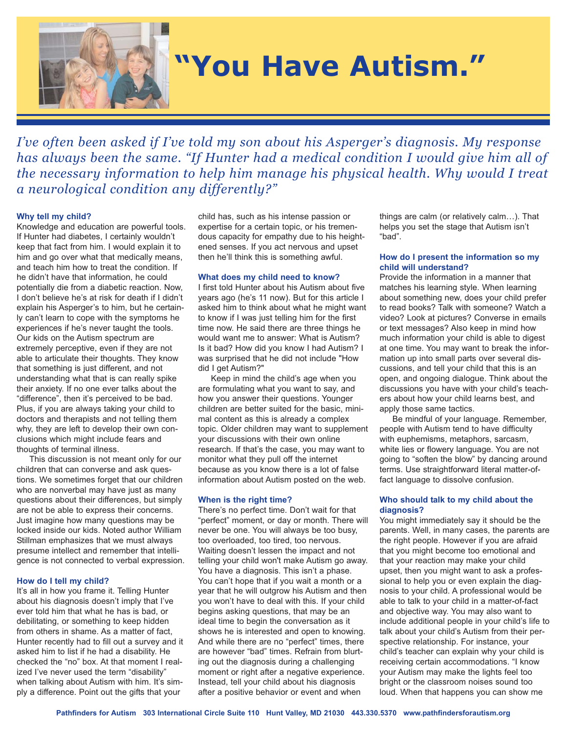

# **"You Have Autism."**

*I've often been asked if I've told my son about his Asperger's diagnosis. My response has always been the same. "If Hunter had a medical condition I would give him all of the necessary information to help him manage his physical health. Why would I treat a neurological condition any differently?"* 

## **Why tell my child?**

Knowledge and education are powerful tools. If Hunter had diabetes, I certainly wouldn't keep that fact from him. I would explain it to him and go over what that medically means, and teach him how to treat the condition. If he didn't have that information, he could potentially die from a diabetic reaction. Now, I don't believe he's at risk for death if I didn't explain his Asperger's to him, but he certainly can't learn to cope with the symptoms he experiences if he's never taught the tools. Our kids on the Autism spectrum are extremely perceptive, even if they are not able to articulate their thoughts. They know that something is just different, and not understanding what that is can really spike their anxiety. If no one ever talks about the "difference", then it's perceived to be bad. Plus, if you are always taking your child to doctors and therapists and not telling them why, they are left to develop their own conclusions which might include fears and thoughts of terminal illness.

This discussion is not meant only for our children that can converse and ask questions. We sometimes forget that our children who are nonverbal may have just as many questions about their differences, but simply are not be able to express their concerns. Just imagine how many questions may be locked inside our kids. Noted author William Stillman emphasizes that we must always presume intellect and remember that intelligence is not connected to verbal expression.

## **How do I tell my child?**

It's all in how you frame it. Telling Hunter about his diagnosis doesn't imply that I've ever told him that what he has is bad, or debilitating, or something to keep hidden from others in shame. As a matter of fact, Hunter recently had to fill out a survey and it asked him to list if he had a disability. He checked the "no" box. At that moment I realized I've never used the term "disability" when talking about Autism with him. It's simply a difference. Point out the gifts that your

child has, such as his intense passion or expertise for a certain topic, or his tremendous capacity for empathy due to his heightened senses. If you act nervous and upset then he'll think this is something awful.

## **What does my child need to know?**

I first told Hunter about his Autism about five years ago (he's 11 now). But for this article I asked him to think about what he might want to know if I was just telling him for the first time now. He said there are three things he would want me to answer: What is Autism? Is it bad? How did you know I had Autism? I was surprised that he did not include "How did I get Autism?"

Keep in mind the child's age when you are formulating what you want to say, and how you answer their questions. Younger children are better suited for the basic, minimal content as this is already a complex topic. Older children may want to supplement your discussions with their own online research. If that's the case, you may want to monitor what they pull off the internet because as you know there is a lot of false information about Autism posted on the web.

## **When is the right time?**

There's no perfect time. Don't wait for that "perfect" moment, or day or month. There will never be one. You will always be too busy, too overloaded, too tired, too nervous. Waiting doesn't lessen the impact and not telling your child won't make Autism go away. You have a diagnosis. This isn't a phase. You can't hope that if you wait a month or a year that he will outgrow his Autism and then you won't have to deal with this. If your child begins asking questions, that may be an ideal time to begin the conversation as it shows he is interested and open to knowing. And while there are no "perfect" times, there are however "bad" times. Refrain from blurting out the diagnosis during a challenging moment or right after a negative experience. Instead, tell your child about his diagnosis after a positive behavior or event and when

things are calm (or relatively calm…). That helps you set the stage that Autism isn't "bad".

# **How do I present the information so my child will understand?**

Provide the information in a manner that matches his learning style. When learning about something new, does your child prefer to read books? Talk with someone? Watch a video? Look at pictures? Converse in emails or text messages? Also keep in mind how much information your child is able to digest at one time. You may want to break the information up into small parts over several discussions, and tell your child that this is an open, and ongoing dialogue. Think about the discussions you have with your child's teachers about how your child learns best, and apply those same tactics.

Be mindful of your language. Remember, people with Autism tend to have difficulty with euphemisms, metaphors, sarcasm, white lies or flowery language. You are not going to "soften the blow" by dancing around terms. Use straightforward literal matter-offact language to dissolve confusion.

# **Who should talk to my child about the diagnosis?**

You might immediately say it should be the parents. Well, in many cases, the parents are the right people. However if you are afraid that you might become too emotional and that your reaction may make your child upset, then you might want to ask a professional to help you or even explain the diagnosis to your child. A professional would be able to talk to your child in a matter-of-fact and objective way. You may also want to include additional people in your child's life to talk about your child's Autism from their perspective relationship. For instance, your child's teacher can explain why your child is receiving certain accommodations. "I know your Autism may make the lights feel too bright or the classroom noises sound too loud. When that happens you can show me